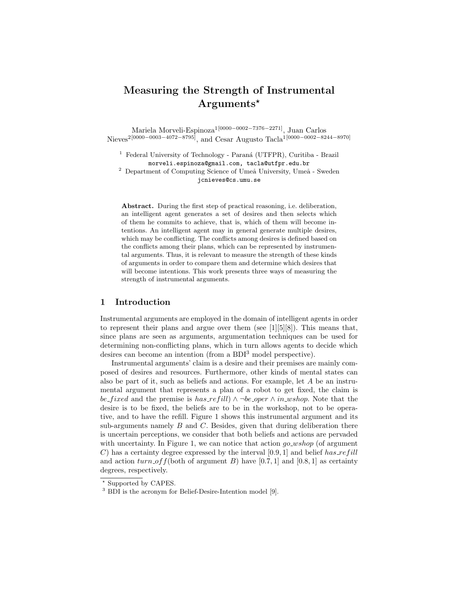# Measuring the Strength of Instrumental Arguments<sup>\*</sup>

Mariela Morveli-Espinoza1[0000−0002−7376−2271], Juan Carlos Nieves<sup>2</sup>[0000−0003−4072−8795], and Cesar Augusto Tacla<sup>1</sup>[0000−0002−8244−8970]

<sup>1</sup> Federal University of Technology - Paraná (UTFPR), Curitiba - Brazil morveli.espinoza@gmail.com, tacla@utfpr.edu.br  $^2$  Department of Computing Science of Umeå University, Umeå - Sweden

jcnieves@cs.umu.se

Abstract. During the first step of practical reasoning, i.e. deliberation, an intelligent agent generates a set of desires and then selects which of them he commits to achieve, that is, which of them will become intentions. An intelligent agent may in general generate multiple desires, which may be conflicting. The conflicts among desires is defined based on the conflicts among their plans, which can be represented by instrumental arguments. Thus, it is relevant to measure the strength of these kinds of arguments in order to compare them and determine which desires that will become intentions. This work presents three ways of measuring the strength of instrumental arguments.

#### 1 Introduction

Instrumental arguments are employed in the domain of intelligent agents in order to represent their plans and argue over them (see [1][5][8]). This means that, since plans are seen as arguments, argumentation techniques can be used for determining non-conflicting plans, which in turn allows agents to decide which desires can become an intention (from a BDI<sup>3</sup> model perspective).

Instrumental arguments' claim is a desire and their premises are mainly composed of desires and resources. Furthermore, other kinds of mental states can also be part of it, such as beliefs and actions. For example, let A be an instrumental argument that represents a plan of a robot to get fixed, the claim is be fixed and the premise is has refill)  $\land \neg$ be oper  $\land$  in wshop. Note that the desire is to be fixed, the beliefs are to be in the workshop, not to be operative, and to have the refill. Figure 1 shows this instrumental argument and its sub-arguments namely  $B$  and  $C$ . Besides, given that during deliberation there is uncertain perceptions, we consider that both beliefs and actions are pervaded with uncertainty. In Figure 1, we can notice that action  $q\sigma$ -wshop (of argument C) has a certainty degree expressed by the interval [0.9, 1] and belief has refill and action  $turn\_off$ (both of argument B) have [0.7, 1] and [0.8, 1] as certainty degrees, respectively.

<sup>?</sup> Supported by CAPES.

<sup>&</sup>lt;sup>3</sup> BDI is the acronym for Belief-Desire-Intention model [9].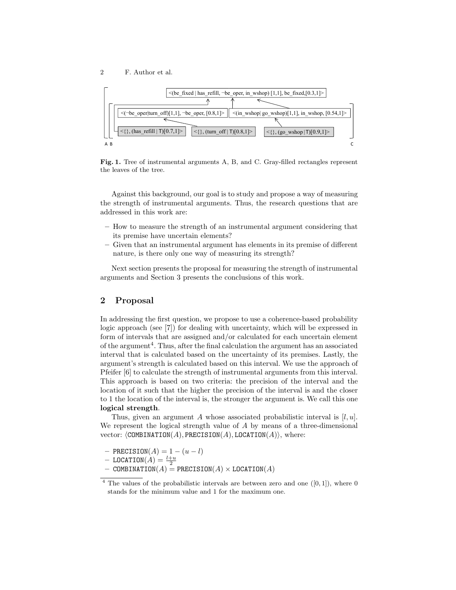



Fig. 1. Tree of instrumental arguments A, B, and C. Gray-filled rectangles represent the leaves of the tree.

Against this background, our goal is to study and propose a way of measuring the strength of instrumental arguments. Thus, the research questions that are addressed in this work are:

- How to measure the strength of an instrumental argument considering that its premise have uncertain elements?
- Given that an instrumental argument has elements in its premise of different nature, is there only one way of measuring its strength?

Next section presents the proposal for measuring the strength of instrumental arguments and Section 3 presents the conclusions of this work.

### 2 Proposal

In addressing the first question, we propose to use a coherence-based probability logic approach (see [7]) for dealing with uncertainty, which will be expressed in form of intervals that are assigned and/or calculated for each uncertain element of the argument<sup>4</sup>. Thus, after the final calculation the argument has an associated interval that is calculated based on the uncertainty of its premises. Lastly, the argument's strength is calculated based on this interval. We use the approach of Pfeifer [6] to calculate the strength of instrumental arguments from this interval. This approach is based on two criteria: the precision of the interval and the location of it such that the higher the precision of the interval is and the closer to 1 the location of the interval is, the stronger the argument is. We call this one logical strength.

Thus, given an argument A whose associated probabilistic interval is  $[l, u]$ . We represent the logical strength value of  $A$  by means of a three-dimensional vector:  $\langle \text{COMBINATION}(A), \text{PRECISION}(A), \text{LOCATION}(A) \rangle$ , where:

 $-$  PRECISION $(A) = 1 - (u - l)$ 

$$
LOGATION(A) = \frac{l+u}{2}
$$

 $-$  COMBINATION(A)  $=$  PRECISION(A)  $\times$  LOCATION(A)

<sup>&</sup>lt;sup>4</sup> The values of the probabilistic intervals are between zero and one  $([0, 1])$ , where 0 stands for the minimum value and 1 for the maximum one.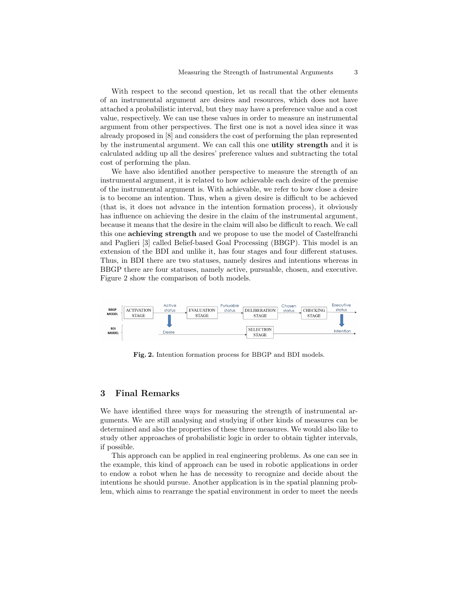With respect to the second question, let us recall that the other elements of an instrumental argument are desires and resources, which does not have attached a probabilistic interval, but they may have a preference value and a cost value, respectively. We can use these values in order to measure an instrumental argument from other perspectives. The first one is not a novel idea since it was already proposed in [8] and considers the cost of performing the plan represented by the instrumental argument. We can call this one utility strength and it is calculated adding up all the desires' preference values and subtracting the total cost of performing the plan.

We have also identified another perspective to measure the strength of an instrumental argument, it is related to how achievable each desire of the premise of the instrumental argument is. With achievable, we refer to how close a desire is to become an intention. Thus, when a given desire is difficult to be achieved (that is, it does not advance in the intention formation process), it obviously has influence on achieving the desire in the claim of the instrumental argument, because it means that the desire in the claim will also be difficult to reach. We call this one achieving strength and we propose to use the model of Castelfranchi and Paglieri [3] called Belief-based Goal Processing (BBGP). This model is an extension of the BDI and unlike it, has four stages and four different statuses. Thus, in BDI there are two statuses, namely desires and intentions whereas in BBGP there are four statuses, namely active, pursuable, chosen, and executive. Figure 2 show the comparison of both models.



Fig. 2. Intention formation process for BBGP and BDI models.

## 3 Final Remarks

We have identified three ways for measuring the strength of instrumental arguments. We are still analysing and studying if other kinds of measures can be determined and also the properties of these three measures. We would also like to study other approaches of probabilistic logic in order to obtain tighter intervals, if possible.

This approach can be applied in real engineering problems. As one can see in the example, this kind of approach can be used in robotic applications in order to endow a robot when he has de necessity to recognize and decide about the intentions he should pursue. Another application is in the spatial planning problem, which aims to rearrange the spatial environment in order to meet the needs